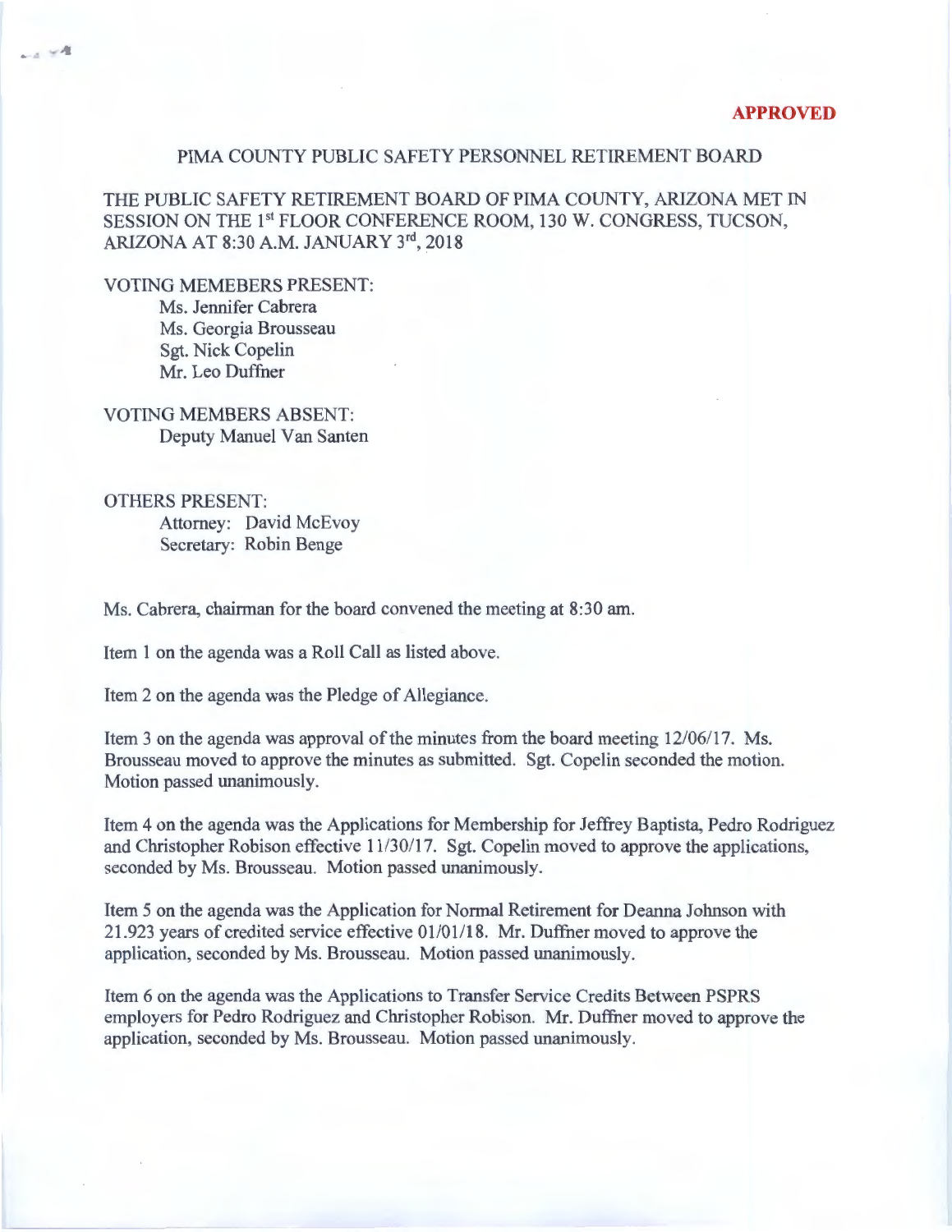## PIMA COUNTY PUBLIC SAFETY PERSONNEL RETIREMENT BOARD

THE PUBLIC SAFETY RETIREMENT BOARD OF PIMA COUNTY, ARIZONA MET IN SESSION ON THE 1st FLOOR CONFERENCE ROOM, 130 W. CONGRESS, TUCSON, ARIZONA AT 8:30A.M. JANUARY 3rd, 2018

VOTING MEMEBERS PRESENT: Ms. Jennifer Cabrera Ms. Georgia Brousseau

 $-1$   $-4$ 

Sgt. Nick Copelin Mr. Leo Duffner

VOTING MEMBERS ABSENT: Deputy Manuel Van Santen

OTHERS PRESENT: Attorney: David McEvoy Secretary: Robin Benge

Ms. Cabrera, chairman for the board convened the meeting at 8:30 am.

Item 1 on the agenda was a Roll Call as listed above.

Item 2 on the agenda was the Pledge of Allegiance.

Item 3 on the agenda was approval of the minutes from the board meeting 12/06/17. Ms. Brousseau moved to approve the minutes as submitted. Sgt. Copelin seconded the motion. Motion passed unanimously.

Item 4 on the agenda was the Applications for Membership for Jeffrey Baptista, Pedro Rodriguez and Christopher Robison effective 11/30/17. Sgt. Copelin moved to approve the applications, seconded by Ms. Brousseau. Motion passed unanimously.

Item 5 on the agenda was the Application for Normal Retirement for Deanna Johnson with 21.923 years of credited service effective 01101118. Mr. Duffner moved to approve the application, seconded by Ms. Brousseau. Motion passed unanimously.

Item 6 on the agenda was the Applications to Transfer Service Credits Between PSPRS employers for Pedro Rodriguez and Christopher Robison. Mr. Duffner moved to approve the application, seconded by Ms. Brousseau. Motion passed unanimously.